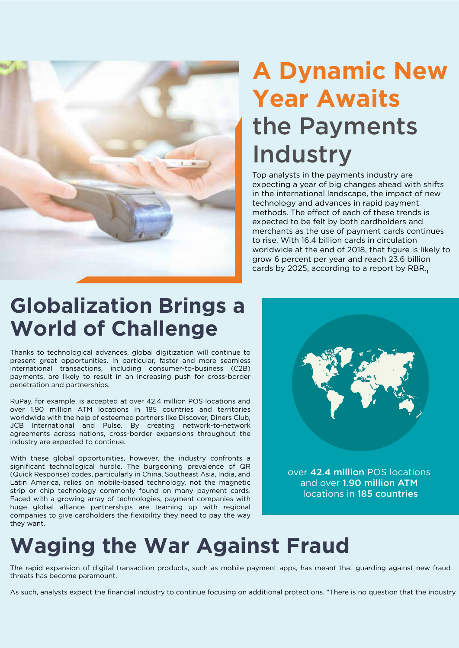

## **A Dynamic New Year Awaits**  the Payments Industry

Top analysts in the payments industry are expecting a year of big changes ahead with shifts in the international landscape, the impact of new technology and advances in rapid payment methods. The effect of each of these trends is expected to be felt by both cardholders and merchants as the use of payment cards continues to rise. With 16.4 billion cards in circulation worldwide at the end of 2018, that figure is likely to grow 6 percent per year and reach 23.6 billion cards by 2025, according to a report by RBR.

## **Globalization Brings a World of Challenge**

Thanks to technological advances, global digitization will continue to present great opportunities. In particular, faster and more seamless international transactions, including consumer-to-business (C2B) payments, are likely to result in an increasing push for cross-border penetration and partnerships.

RuPay, for example, is accepted at over 42.4 million POS locations and over 1.90 million ATM locations in 185 countries and territories worldwide with the help of esteemed partners like Discover, Diners Club, JCB International and Pulse. By creating network-to-network agreements across nations, cross-border expansions throughout the industry are expected to continue.

With these global opportunities, however, the industry confronts a significant technological hurdle. The burgeoning prevalence of QR (Quick Response) codes, particularly in China, Southeast Asia, India, and Latin America, relies on mobile-based technology, not the magnetic strip or chip technology commonly found on many payment cards. Faced with a growing array of technologies, payment companies with huge global alliance partnerships are teaming up with regional companies to give cardholders the flexibility they need to pay the way they want.



over 42.4 million POS locations and over 1.90 million ATM locations in 185 countries

## **Waging the War Against Fraud**

The rapid expansion of digital transaction products, such as mobile payment apps, has meant that guarding against new fraud threats has become paramount.

As such, analysts expect the financial industry to continue focusing on additional protections. "There is no question that the industry